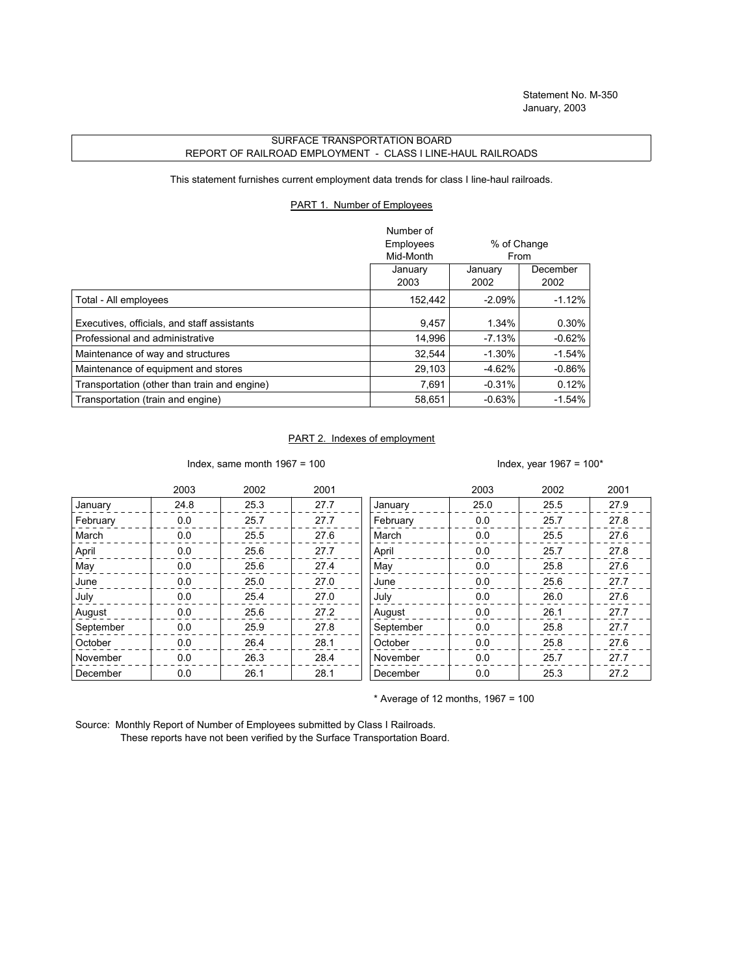## SURFACE TRANSPORTATION BOARD REPORT OF RAILROAD EMPLOYMENT - CLASS I LINE-HAUL RAILROADS

This statement furnishes current employment data trends for class I line-haul railroads.

## PART 1. Number of Employees

|                                              | Number of |             |          |
|----------------------------------------------|-----------|-------------|----------|
|                                              | Employees | % of Change |          |
|                                              | Mid-Month | From        |          |
|                                              | January   | January     | December |
|                                              | 2003      | 2002        | 2002     |
| Total - All employees                        | 152,442   | $-2.09\%$   | $-1.12%$ |
| Executives, officials, and staff assistants  | 9,457     | 1.34%       | 0.30%    |
| Professional and administrative              | 14,996    | $-7.13%$    | $-0.62%$ |
| Maintenance of way and structures            | 32,544    | $-1.30%$    | $-1.54%$ |
| Maintenance of equipment and stores          | 29,103    | $-4.62%$    | $-0.86%$ |
| Transportation (other than train and engine) | 7.691     | $-0.31%$    | 0.12%    |
| Transportation (train and engine)            | 58.651    | $-0.63%$    | $-1.54%$ |

## PART 2. Indexes of employment

Index, same month  $1967 = 100$  Index, year  $1967 = 100*$ 

|           | 2003 | 2002 | 2001 |           | 2003 | 2002 | 2001 |
|-----------|------|------|------|-----------|------|------|------|
| January   | 24.8 | 25.3 | 27.7 | January   | 25.0 | 25.5 | 27.9 |
| February  | 0.0  | 25.7 | 27.7 | February  | 0.0  | 25.7 | 27.8 |
| March     | 0.0  | 25.5 | 27.6 | March     | 0.0  | 25.5 | 27.6 |
| April     | 0.0  | 25.6 | 27.7 | April     | 0.0  | 25.7 | 27.8 |
| May       | 0.0  | 25.6 | 27.4 | May       | 0.0  | 25.8 | 27.6 |
| June      | 0.0  | 25.0 | 27.0 | June      | 0.0  | 25.6 | 27.7 |
| July      | 0.0  | 25.4 | 27.0 | July      | 0.0  | 26.0 | 27.6 |
| August    | 0.0  | 25.6 | 27.2 | August    | 0.0  | 26.1 | 27.7 |
| September | 0.0  | 25.9 | 27.8 | September | 0.0  | 25.8 | 27.7 |
| October   | 0.0  | 26.4 | 28.1 | October   | 0.0  | 25.8 | 27.6 |
| November  | 0.0  | 26.3 | 28.4 | November  | 0.0  | 25.7 | 27.7 |
| December  | 0.0  | 26.1 | 28.1 | December  | 0.0  | 25.3 | 27.2 |

 $*$  Average of 12 months, 1967 = 100

Source: Monthly Report of Number of Employees submitted by Class I Railroads. These reports have not been verified by the Surface Transportation Board.